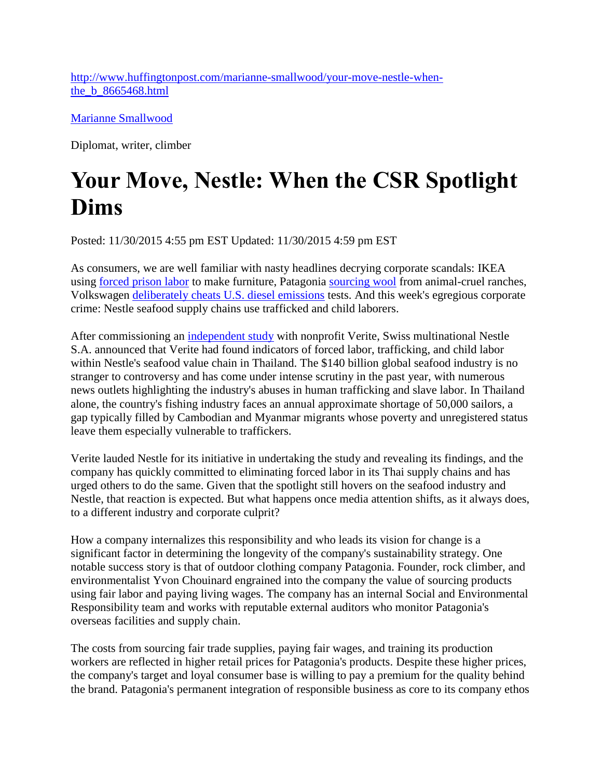[http://www.huffingtonpost.com/marianne-smallwood/your-move-nestle-when](http://www.huffingtonpost.com/marianne-smallwood/your-move-nestle-when-the_b_8665468.html)[the\\_b\\_8665468.html](http://www.huffingtonpost.com/marianne-smallwood/your-move-nestle-when-the_b_8665468.html)

[Marianne Smallwood](http://www.huffingtonpost.com/marianne-smallwood/)

Diplomat, writer, climber

## **Your Move, Nestle: When the CSR Spotlight Dims**

Posted: 11/30/2015 4:55 pm EST Updated: 11/30/2015 4:59 pm EST

As consumers, we are well familiar with nasty headlines decrying corporate scandals: IKEA using [forced prison labor](http://www.independent.co.uk/news/business/news/ikea-used-forced-prison-labour-to-make-furniture-8324016.html) to make furniture, Patagonia [sourcing wool](http://qz.com/479984/patagonia-and-another-ethical-clothing-brand-are-being-accused-of-a-new-kind-of-animal-cruelty/) from animal-cruel ranches, Volkswagen [deliberately cheats U.S. diesel emissions](http://www.bbc.com/news/business-34324772) tests. And this week's egregious corporate crime: Nestle seafood supply chains use trafficked and child laborers.

After commissioning an [independent study](http://www.verite.org/sites/default/files/images/NestleReport-ThaiShrimp_prepared-by-Verite.pdf) with nonprofit Verite, Swiss multinational Nestle S.A. announced that Verite had found indicators of forced labor, trafficking, and child labor within Nestle's seafood value chain in Thailand. The \$140 billion global seafood industry is no stranger to controversy and has come under intense scrutiny in the past year, with numerous news outlets highlighting the industry's abuses in human trafficking and slave labor. In Thailand alone, the country's fishing industry faces an annual approximate shortage of 50,000 sailors, a gap typically filled by Cambodian and Myanmar migrants whose poverty and unregistered status leave them especially vulnerable to traffickers.

Verite lauded Nestle for its initiative in undertaking the study and revealing its findings, and the company has quickly committed to eliminating forced labor in its Thai supply chains and has urged others to do the same. Given that the spotlight still hovers on the seafood industry and Nestle, that reaction is expected. But what happens once media attention shifts, as it always does, to a different industry and corporate culprit?

How a company internalizes this responsibility and who leads its vision for change is a significant factor in determining the longevity of the company's sustainability strategy. One notable success story is that of outdoor clothing company Patagonia. Founder, rock climber, and environmentalist Yvon Chouinard engrained into the company the value of sourcing products using fair labor and paying living wages. The company has an internal Social and Environmental Responsibility team and works with reputable external auditors who monitor Patagonia's overseas facilities and supply chain.

The costs from sourcing fair trade supplies, paying fair wages, and training its production workers are reflected in higher retail prices for Patagonia's products. Despite these higher prices, the company's target and loyal consumer base is willing to pay a premium for the quality behind the brand. Patagonia's permanent integration of responsible business as core to its company ethos